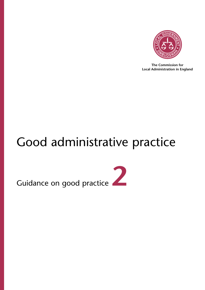

**The Commission for Local Administration in England**

# Good administrative practice

Guidance on good practice

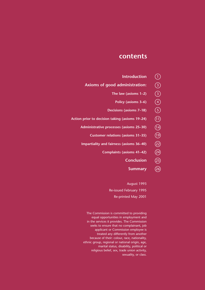# **contents**

- **Introduction**  $\bigodot$
- **Axioms of good administration:** 3
	- **The law (axioms 1–2)** 3
		- **Policy (axioms 3–6)** 4
	- **Decisions (axioms 7–18)** 5
- **Action prior to decision taking (axioms 19–24)** 11
	- **Administrative processes (axioms 25–30)** 14
		- **Customer relations (axioms 31–35)** 19
	- **Impartiality and fairness (axioms 36–40)** 22
		- **Complaints (axioms 41–42)** 24
			- **Conclusion** 25
				- **Summary**  $(26)$

August 1993 Re-issued February 1995 Re-printed May 2001

The Commission is committed to providing equal opportunities in employment and in the services it provides. The Commission seeks to ensure that no complainant, job applicant or Commission employee is treated any differently from another because of their: colour, race, nationality, ethnic group, regional or national origin, age, marital status, disability, political or religious belief, sex, trade union activity, sexuality, or class.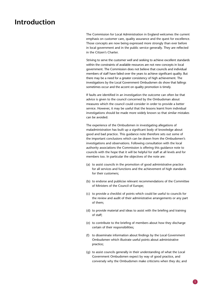# **Introduction**

The Commission for Local Administration in England welcomes the current emphasis on customer care, quality assurance and the quest for excellence. Those concepts are now being expressed more strongly than ever before in local government and in the public service generally. They are reflected in the Citizen's Charter.

Striving to serve the customer well and seeking to achieve excellent standards within the constraints of available resources are not new concepts in local government. The Commission does not believe that councils and individual members of staff have failed over the years to achieve significant quality. But there may be a need for a greater consistency of high achievement. The investigations by the Local Government Ombudsmen do show that failings sometimes occur and the accent on quality promotion is timely.

If faults are identified in an investigation the outcome can often be that advice is given to the council concerned by the Ombudsman about measures which the council could consider in order to provide a better service. However, it may be useful that the lessons learnt from individual investigations should be made more widely known so that similar mistakes can be avoided.

The experience of the Ombudsmen in investigating allegations of maladministration has built up a significant body of knowledge about good and bad practice. This guidance note therefore sets out some of the important conclusions which can be drawn from the Ombudsmen's investigations and observations. Following consultation with the local authority associations the Commission is offering this guidance note to councils with the hope that it will be helpful for staff at all levels and for members too. In particular the objectives of the note are:

- (a) to assist councils in the promotion of good administrative practice for all services and functions and the achievement of high standards for their customers;
- (b) to endorse and publicise relevant recommendations of the Committee of Ministers of the Council of Europe;
- (c) to provide a checklist of points which could be useful to councils for the review and audit of their administrative arrangements or any part of them;
- (d) to provide material and ideas to assist with the briefing and training of staff;
- (e) to contribute to the briefing of members about how they discharge certain of their responsibilities;
- (f) to disseminate information about findings by the Local Government Ombudsmen which illustrate useful points about administrative practice;
- (g) to assist councils generally in their understanding of what the Local Government Ombudsmen expect by way of good practice, and conversely why the Ombudsmen make criticisms when they do; and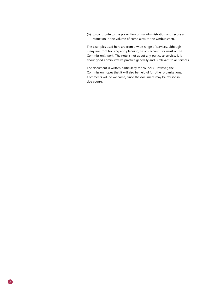(h) to contribute to the prevention of maladministration and secure a reduction in the volume of complaints to the Ombudsmen.

The examples used here are from a wide range of services, although many are from housing and planning, which account for most of the Commission's work. The note is not about any particular service. It is about good administrative practice generally and is relevant to all services.

The document is written particularly for councils. However, the Commission hopes that it will also be helpful for other organisations. Comments will be welcome, since the document may be revised in due course.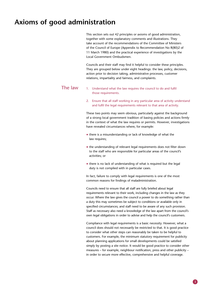# **Axioms of good administration**

This section sets out 42 principles or axioms of good administration, together with some explanatory comments and illustrations. They take account of the recommendations of the Committee of Ministers of the Council of Europe (Appendix to Recommendation No R(80)2 of 11 March 1980) and the practical experience of investigations by the Local Government Ombudsmen.

Councils and their staff may find it helpful to consider these principles. They are grouped below under eight headings: the law, policy, decisions, action prior to decision taking, administrative processes, customer relations, impartiality and fairness, and complaints.

#### The law 1. Understand what the law requires the council to do and fulfil those requirements.

2. Ensure that all staff working in any particular area of activity understand and fulfil the legal requirements relevant to that area of activity.

These two points may seem obvious, particularly against the background of a strong local government tradition of basing policies and actions firmly in the context of what the law requires or permits. However, investigations have revealed circumstances where, for example:

- there is a misunderstanding or lack of knowledge of what the law requires;
- the understanding of relevant legal requirements does not filter down to the staff who are responsible for particular areas of the council's activities; or
- there is no lack of understanding of what is required but the legal duty is not complied with in particular cases.

In fact, failure to comply with legal requirements is one of the most common reasons for findings of maladministration.

Councils need to ensure that all staff are fully briefed about legal requirements relevant to their work, including changes in the law as they occur. Where the law gives the council a power to do something rather than a duty this may sometimes be subject to conditions or available only in specified circumstances; and staff need to be aware of any such provision. Staff as necessary also need a knowledge of the law apart from the council's own legal obligations in order to advise and help the council's customers.

Compliance with legal requirements is a basic necessity. However, what a council does should not necessarily be restricted to that. It is good practice to consider what other steps can reasonably be taken to be helpful to customers. For example, the minimum statutory requirement for publicity about planning applications for small developments could be satisfied simply by posting a site notice. It would be good practice to consider other measures – for example, neighbour notification, press and other publicity – in order to secure more effective, comprehensive and helpful coverage.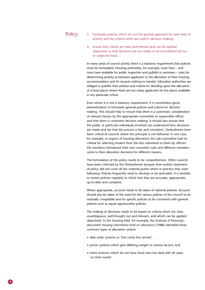# **Policy**

- 3. Formulate policies which set out the general approach for each area of activity and the criteria which are used in decision making.
- 4. Ensure that criteria are clear and relevant and can be applied objectively so that decisions are not made on an inconsistent ad hoc or subjective basis.

In many areas of council activity there is a statutory requirement that policies must be formulated. Housing authorities, for example, must have – and must have available for public inspection and publish in summary – rules for determining priority as between applicants in the allocation of their housing accommodation and for tenants wishing to transfer. Education authorities are obliged to publish their policies and criteria for deciding upon the allocation of school places where there are too many applicants for the places available in any particular school.

Even where it is not a statutory requirement, it is nonetheless good administration to formulate general policies and criteria for decision making. This should help to ensure that there is a systematic consideration of relevant factors by the appropriate committee or responsible officer and that there is consistent decision making. It should also ensure that the public or particular individuals involved can understand how decisions are made and see that the process is fair and consistent. Ombudsmen have been critical of councils where this principle is not followed. In one case, for example, in respect of housing allocations the sub-committee had no criteria for selecting tenants from the lists submitted to them by officers: the members introduced their own unwritten rules and different members came to their allocation decisions for different reasons.

The formulation of the policy needs to be comprehensive. Often councils have been criticised by the Ombudsmen because their written statement of policy did not cover all the material points which in practice they were following. Policies frequently need to develop or be amended. It is sensible to review policies regularly to check that they are accurate, appropriate, up-to-date and complete.

Where appropriate, account needs to be taken of national policies. Account should also be taken of the need for the various policies of the council to be mutually compatible and for specific policies to be consistent with general policies such as equal opportunities policies.

The making of decisions needs to be based on criteria which are clear, unambiguous, well thought out and relevant, and which can be applied objectively. In the housing field, for example, the Institute of Housing's document *Housing information brief on allocations* (1988) identified three common types of allocation system:

- date order systems or 'first come first served';
- points systems which give differing weight to various factors; and
- merit schemes which do not have fixed rules but deal with all cases 'on their merits'.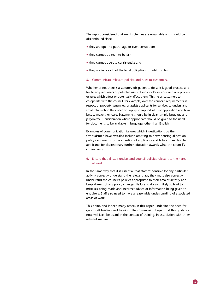The report considered that merit schemes are unsuitable and should be discontinued since:

- they are open to patronage or even corruption;
- they cannot be seen to be fair;
- they cannot operate consistently; and
- they are in breach of the legal obligation to publish rules.
- 5. Communicate relevant policies and rules to customers.

Whether or not there is a statutory obligation to do so it is good practice and fair to acquaint users or potential users of a council's services with any policies or rules which affect or potentially affect them. This helps customers to co-operate with the council, for example, over the council's requirements in respect of property tenancies; or assists applicants for services to understand what information they need to supply in support of their application and how best to make their case. Statements should be in clear, simple language and jargon-free. Consideration where appropriate should be given to the need for documents to be available in languages other than English.

Examples of communication failures which investigations by the Ombudsmen have revealed include omitting to draw housing allocation policy documents to the attention of applicants and failure to explain to applicants for discretionary further education awards what the council's criteria were.

#### 6. Ensure that all staff understand council policies relevant to their area of work.

In the same way that it is essential that staff responsible for any particular activity correctly understand the relevant law, they must also correctly understand the council's policies appropriate to their area of activity and keep abreast of any policy changes. Failure to do so is likely to lead to mistakes being made and incorrect advice or information being given to enquirers. Staff also need to have a reasonable understanding of associated areas of work.

This point, and indeed many others in this paper, underline the need for good staff briefing and training. The Commission hopes that this guidance note will itself be useful in the context of training, in association with other relevant material.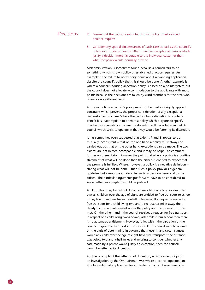#### 7. Ensure that the council does what its own policy or established practice requires. **Decisions**

8. Consider any special circumstances of each case as well as the council's policy so as to determine whether there are exceptional reasons which justify a decision more favourable to the individual customer than what the policy would normally provide.

Maladministration is sometimes found because a council fails to do something which its own policy or established practice requires. An example is the failure to notify neighbours about a planning application despite the council's policy that this should be done. Another example is where a council's housing allocation policy is based on a points system but the council does not allocate accommodation to the applicants with most points because the decisions are taken by ward members for the area who operate on a different basis.

At the same time a council's policy must not be used as a rigidly applied constraint which prevents the proper consideration of any exceptional circumstances of a case. Where the council has a discretion to confer a benefit it is inappropriate to operate a policy which purports to specify in advance circumstances where the discretion will never be exercised. A council which seeks to operate in that way would be fettering its discretion.

It has sometimes been suggested that axioms 7 and 8 appear to be mutually inconsistent – that on the one hand a policy must always be carried out but that on the other hand exceptions can be made. The two axioms are not in fact incompatible and it may be helpful to comment further on them. Axiom 7 makes the point that where a policy is a positive statement of what will be done then the citizen is entitled to expect that the promise is fulfilled. Where, however, a policy is a negative definition – stating what will not be done – then such a policy provides a general guideline but cannot be an absolute bar to a decision beneficial to the citizen. The particular arguments put forward have to be considered to see whether an exception would be justified.

An illustration may be helpful. A council may have a policy, for example, that all children over the age of eight are entitled to free transport to school if they live more than two-and-a-half miles away. If a request is made for free transport for a child living two-and-three-quarter miles away then clearly there is an entitlement under the policy and the request must be met. On the other hand if the council receives a request for free transport in respect of a child living two-and-a-quarter miles from school then there is no automatic entitlement. However, it lies within the discretion of the council to give free transport if it so wishes. If the council were to operate on the basis of determining in advance that never in any circumstances would any child over the age of eight have free transport if the distance was below two-and-a-half miles and refusing to consider whether any case made by a parent would justify an exception, then the council would be fettering its discretion.

Another example of the fettering of discretion, which came to light in an investigation by the Ombudsman, was where a council operated an absolute rule that applications for a transfer of council house tenancies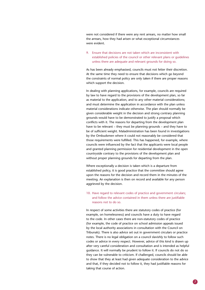were not considered if there were any rent arrears, no matter how small the arrears, how they had arisen or what exceptional circumstances were evident.

9. Ensure that decisions are not taken which are inconsistent with established policies of the council or other relevant plans or guidelines unless there are adequate and relevant grounds for doing so.

As has been already emphasised, councils must not fetter their discretion. At the same time they need to ensure that decisions which go beyond the constraints of normal policy are only taken if there are proper reasons which support the decision.

In dealing with planning applications, for example, councils are required by law to have regard to the provisions of the development plan, so far as material to the application, and to any other material considerations; and must determine the application in accordance with the plan unless material considerations indicate otherwise. The plan should normally be given considerable weight in the decision and strong contrary planning grounds would have to be demonstrated to justify a proposal which conflicts with it. The reasons for departing from the development plan have to be relevant – they must be planning grounds – and they have to be of sufficient weight. Maladministration has been found in investigations by the Ombudsmen where it could not reasonably be considered that those requirements were fulfilled. This has happened, for example, where councils were influenced by the fact that the applicants were local people and granted planning permission for residential development in the open countryside contrary to the provisions of the development plan and without proper planning grounds for departing from the plan.

Where exceptionally a decision is taken which is a departure from established policy, it is good practice that the committee should agree upon the reasons for the decision and record them in the minutes of the meeting. An explanation is then on record and available for any person aggrieved by the decision.

#### 10. Have regard to relevant codes of practice and government circulars; and follow the advice contained in them unless there are justifiable reasons not to do so.

In respect of some activities there are statutory codes of practice (for example, on homelessness) and councils have a duty to have regard to the code. In other cases there are non-statutory codes of practice (for example, the code of practice on school admission appeals issued by the local authority associations in consultation with the Council on Tribunals). There is also advice set out in government circulars or practice notes. There is no legal obligation on a council slavishly to follow such codes or advice in every respect. However, advice of this kind is drawn up after very careful consideration and consultation and is intended as helpful guidance. It will normally be prudent to follow it. If councils do not do so they can be vulnerable to criticism. If challenged, councils should be able to show that they at least had given adequate consideration to the advice and that, if they decided not to follow it, they had justifiable reasons for taking that course of action.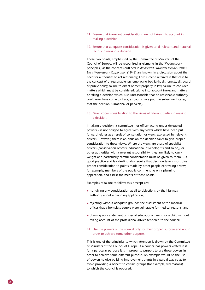- 11. Ensure that irrelevant considerations are not taken into account in making a decision.
- 12. Ensure that adequate consideration is given to all relevant and material factors in making a decision.

These two points, emphasised by the Committee of Ministers of the Council of Europe, will be recognised as elements in the 'Wednesbury principles', as the concepts outlined in *Associated Provincial Picture Houses Ltd v Wednesbury Corporation* (1948) are known. In a discussion about the need for authorities to act reasonably, Lord Greene referred in that case to the concept of unreasonableness embracing bad faith, dishonesty, disregard of public policy, failure to direct oneself properly in law, failure to consider matters which must be considered, taking into account irrelevant matters or taking a decision which is so unreasonable that no reasonable authority could ever have come to it (or, as courts have put it in subsequent cases, that the decision is irrational or perverse).

#### 13. Give proper consideration to the views of relevant parties in making a decision.

In taking a decision, a committee – or officer acting under delegated powers – is not obliged to agree with any views which have been put forward, either as a result of consultation or views expressed by relevant officers. However, there is an onus on the decision taker to give proper consideration to those views. Where the views are those of specialist officers (conservation officers, educational psychologists and so on), or other authorities with a relevant responsibility, they are likely to carry weight and particularly careful consideration must be given to them. But good practice and fair dealing also require that decision takers must give proper consideration to points made by other people expressing a view, for example, members of the public commenting on a planning application, and assess the merits of those points.

Examples of failure to follow this precept are:

- not giving any consideration at all to objections by the highway authority about a planning application;
- rejecting without adequate grounds the assessment of the medical officer that a homeless couple were vulnerable for medical reasons; and
- drawing up a statement of special educational needs for a child without taking account of the professional advice tendered to the council.
- 14. Use the powers of the council only for their proper purpose and not in order to achieve some other purpose.

This is one of the principles to which attention is drawn by the Committee of Ministers of the Council of Europe. If a council has powers vested in it for a particular purpose it is improper to purport to use those powers in order to achieve some different purpose. An example would be the use of powers to give building improvement grants in a partial way so as to avoid providing a benefit to certain groups (for example, freemasons) to which the council is opposed.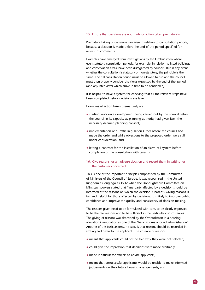#### 15. Ensure that decisions are not made or action taken prematurely.

Premature taking of decisions can arise in relation to consultation periods, because a decision is made before the end of the period specified for receipt of comments.

Examples have emerged from investigations by the Ombudsmen where even statutory consultation periods, for example, in relation to listed buildings and conservation areas, have been disregarded by councils. But in any event, whether the consultation is statutory or non-statutory, the principle is the same. The full consultation period must be allowed to run and the council must then properly consider the views expressed by the end of that period (and any later views which arrive in time to be considered).

It is helpful to have a system for checking that all the relevant steps have been completed before decisions are taken.

Examples of action taken prematurely are:

- starting work on a development being carried out by the council before the council in its capacity as planning authority had given itself the necessary deemed planning consent;
- implementation of a Traffic Regulation Order before the council had made the order and while objections to the proposed order were still under consideration; and
- letting a contract for the installation of an alarm call system before completion of the consultation with tenants.

#### 16. Give reasons for an adverse decision and record them in writing for the customer concerned.

This is one of the important principles emphasised by the Committee of Ministers of the Council of Europe. It was recognised in the United Kingdom as long ago as 1932 when the Donoughmore Committee on Ministers' powers stated that "any party affected by a decision should be informed of the reasons on which the decision is based". Giving reasons is fair and helpful for those affected by decisions. It is likely to improve public confidence and improve the quality and consistency of decision making.

The reasons given need to be formulated with care, to be clearly expressed, to be the real reasons and to be sufficient in the particular circumstances. The giving of reasons was described by the Ombudsman in a housing allocation investigation as one of the "basic axioms of good administration". Another of the basic axioms, he said, is that reasons should be recorded in writing and given to the applicant. The absence of reasons:

- meant that applicants could not be told why they were not selected;
- could give the impression that decisions were made arbitrarily;
- made it difficult for officers to advise applicants:
- meant that unsuccessful applicants would be unable to make informed judgements on their future housing arrangements; and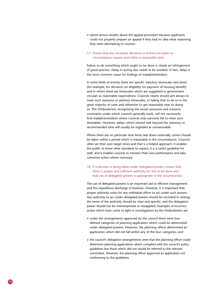- raised serious doubts about the appeal procedure because applicants could not properly prepare an appeal if they had no idea what reasoning they were attempting to counter.
- 17. Ensure that any necessary decisions or actions are taken as circumstances require and within a reasonable time.

Failure to do something which ought to be done is clearly an infringement of good practice. Delay in acting also needs to be avoided. In fact, delay is the most common cause for findings of maladministration.

In some fields of activity there are specific statutory timescales laid down (for example, for decisions on eligibility for payment of housing benefit) and in others there are timescales which are suggested in government circulars as reasonable expectations. Councils clearly should aim always to meet such statutory or advisory timescales, or failing that to do so in the great majority of cases and otherwise to get reasonably near to doing so. The Ombudsmen, recognising the severe pressures and resource constraints under which councils generally work, will not necessarily find maladministration where councils only narrowly fail to meet such timetables. However, delays which extend well beyond the statutory or recommended time will usually be regarded as unreasonable.

Where there are no particular time limits laid down externally, action should be taken within a period which is reasonable in the circumstances. Councils often set their own target times and that is a helpful approach. It enables the public to know what standards to expect; it is a useful guideline for staff; and it enables councils to monitor their own performance and take corrective action where necessary.

#### 18. If a decision is being taken under delegated powers, ensure that there is proper and sufficient authority for this to be done and that use of delegated powers is appropriate in the circumstances.

The use of delegated powers is an important aid to efficient management and the expeditious discharge of business. However, it is important that proper authority exists for any individual officer to act under such powers. Any authority to act under delegated powers should be recorded in writing; the terms of the authority should be clear and specific; and the delegation power should not be misinterpreted or misapplied. Examples of incorrect action which have come to light in investigations by the Ombudsmen are:

- under the arrangements approved by the council there were four defined categories of planning application which could be determined under delegated powers. However, the planning officer determined an application which did not fall within any of the four categories; and
- the council's delegation arrangements were that the planning officer could determine planning applications which complied with the council's policy guidelines but those which did not would be referred to the relevant committee. However, the planning officer approved an application not conforming to the guidelines.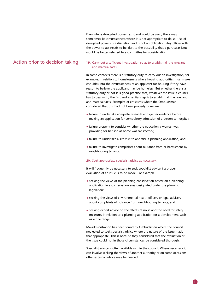Even where delegated powers exist and could be used, there may sometimes be circumstances where it is not appropriate to do so. Use of delegated powers is a discretion and is not an obligation. Any officer with the power to act needs to be alert to the possibility that a particular issue would be better referred to a committee for consideration.

### Action prior to decision taking

#### 19. Carry out a sufficient investigation so as to establish all the relevant and material facts.

In some contexts there is a statutory duty to carry out an investigation, for example, in relation to homelessness where housing authorities must make enquiries into the circumstances of an applicant for housing if they have reason to believe the applicant may be homeless. But whether there is a statutory duty or not it is good practice that, whatever the issue a council has to deal with, the first and essential step is to establish all the relevant and material facts. Examples of criticisms where the Ombudsman considered that this had not been properly done are:

- failure to undertake adequate research and gather evidence before making an application for compulsory admission of a person to hospital;
- failure properly to consider whether the education a woman was providing for her son at home was satisfactory;
- failure to undertake a site visit to appraise a planning application; and
- failure to investigate complaints about nuisance from or harassment by neighbouring tenants.

#### 20. Seek appropriate specialist advice as necessary.

It will frequently be necessary to seek specialist advice if a proper evaluation of an issue is to be made. For example:

- seeking the views of the planning conservation officer on a planning application in a conservation area designated under the planning legislation;
- seeking the views of environmental health officers or legal advisers about complaints of nuisance from neighbouring tenants; and
- seeking expert advice on the effects of noise and the need for safety measures in relation to a planning application for a development such as a rifle range.

Maladministration has been found by Ombudsmen where the council neglected to seek specialist advice where the nature of the issue made that appropriate. This is because they considered that the evaluation of the issue could not in those circumstances be considered thorough.

Specialist advice is often available within the council. Where necessary it can involve seeking the views of another authority or on some occasions other external advice may be needed.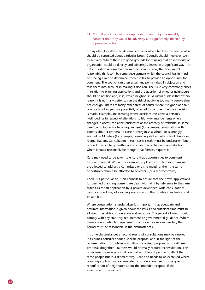21. Consult any individuals or organisations who might reasonably consider that they would be adversely and significantly affected by a proposed action.

It may often be difficult to determine exactly where to draw the line on who should be consulted about particular issues. Councils should, however, seek to act fairly. Where there are good grounds for thinking that an individual or organisation could be directly and adversely affected in a significant way – or if the question is considered from their point of view, that they might reasonably think so – by some development which the council has in mind or is being asked to determine, then it is fair to provide an opportunity for comment. The council can then assess any points raised in objection and take them into account in making a decision. The issue very commonly arises in relation to planning applications and the question of whether neighbours should be notified and, if so, which neighbours. A useful guide is that within reason it is normally better to run the risk of notifying too many people than not enough. There are many other areas of course where it is good and fair practice to allow persons potentially affected to comment before a decision is made. Examples are licensing where decisions can affect a person's livelihood, or in respect of alterations to highway arrangements where changes in access can affect businesses or the amenity of residents. In some cases consultation is a legal requirement (for example, consultation with parents about a proposal to close or reorganise a school) or is strongly advised by Ministers (for example, consulting staff about a school closure or reorganisation). Consultation in such cases clearly must be undertaken, but it is good practice to go further and consider consultation in any situation where it could reasonably be thought that fairness requires it.

Care may need to be taken to ensure that opportunities to comment are even-handed. Where, for example, applicants for planning permission are allowed to address a committee or a site meeting, then the same opportunity should be afforded to objectors (or a representative).

There is a particular onus on councils to ensure that their own applications for deemed planning consent are dealt with fairly by reference to the same criteria as for an application by a private developer. Wide consultations can be a good way of avoiding any suspicion that double standards could be applied.

Where consultation is undertaken it is important that adequate and accurate information is given about the issues and sufficient time must be allowed to enable consideration and response. The period allowed should comply with any statutory requirement or governmental guidance. Where there are no particular requirements laid down or recommended, the period must be reasonable in the circumstances.

In some circumstances a second round of consultations may be needed. If a council consults about a specific proposal and in the light of the representations formulates a significantly revised proposal – or a different proposal altogether – fairness would normally require reconsultation. This is because the new proposal could affect different people or affect the same people but in a different way. Care also needs to be exercised where planning applications are amended: consideration needs to be given to renotification of neighbours about the amended proposal if the amendment is significant.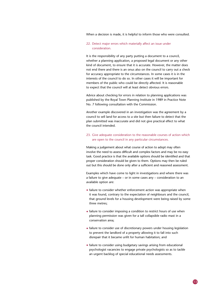When a decision is made, it is helpful to inform those who were consulted.

#### 22. Detect major errors which materially affect an issue under consideration.

It is the responsibility of any party putting a document to a council, whether a planning application, a proposed legal document or any other kind of document, to ensure that it is accurate. However, the matter does not end there and there is an onus also on the council to carry out a check for accuracy appropriate to the circumstances. In some cases it is in the interests of the council to do so. In other cases it will be important for members of the public who could be directly affected. It is reasonable to expect that the council will at least detect obvious errors.

Advice about checking for errors in relation to planning applications was published by the Royal Town Planning Institute in 1989 in Practice Note No. 7 following consultation with the Commission.

Another example discovered in an investigation was the agreement by a council to sell land for access to a site but then failure to detect that the plan submitted was inaccurate and did not give practical effect to what the council intended.

#### 23. Give adequate consideration to the reasonable courses of action which are open to the council in any particular circumstances.

Making a judgement about what course of action to adopt may often involve the need to assess difficult and complex factors and may be no easy task. Good practice is that the available options should be identified and that proper consideration should be given to them. Options may then be ruled out but this should be done only after a sufficient and reasoned assessment.

Examples which have come to light in investigations and where there was a failure to give adequate – or in some cases any – consideration to an available option are:

- failure to consider whether enforcement action was appropriate when it was found, contrary to the expectation of neighbours and the council, that ground levels for a housing development were being raised by some three metres;
- failure to consider imposing a condition to restrict hours of use when planning permission was given for a tall collapsible radio mast in a conservation area;
- failure to consider use of discretionary powers under housing legislation to prevent the landlord of a property allowing it to fall into such disrepair that it became unfit for human habitation; and
- failure to consider using budgetary savings arising from educational psychologist vacancies to engage private psychologists so as to tackle an urgent backlog of special educational needs assessments.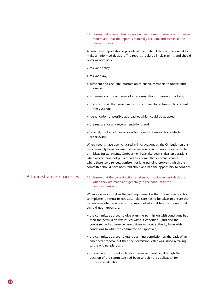24. Ensure that a committee is provided with a report when circumstances require and that the report is materially accurate and covers all the relevant points.

A committee report should provide all the material the members need to make an informed decision. The report should be in clear terms and should cover as necessary:

- relevant policy;
- relevant law:
- sufficient and accurate information to enable members to understand the issue;
- a summary of the outcome of any consultation or seeking of advice;
- reference to all the considerations which have to be taken into account in the decision;
- identification of possible approaches which could be adopted;
- the reasons for any recommendations; and
- an analysis of any financial or other significant implications which are relevant.

Where reports have been criticised in investigations by the Ombudsmen this has commonly been because there were significant omissions or inaccurate or misleading statements. Ombudsmen have also been critical on occasions when officers have not put a report to a committee in circumstances where there were serious, persistent or long-standing problems which the committee should have been told about and had the opportunity to consider.

# Administrative processes

25. Ensure that the correct action is taken both to implement decisions when they are made and generally in the conduct of the council's business.

When a decision is taken the first requirement is that the necessary action to implement it must follow. Secondly, care has to be taken to ensure that the implementation is correct. Examples of where it has been found that this did not happen are:

- the committee agreed to give planning permission with conditions but then the permission was issued without conditions (and also the converse has happened where officers without authority have added conditions to what the committee has approved);
- the committee agreed to grant planning permission on the basis of an amended proposal but then the permission letter was issued referring to the original plan; and
- officers in error issued a planning permission notice, although the decision of the committee had been to defer the application for further consideration.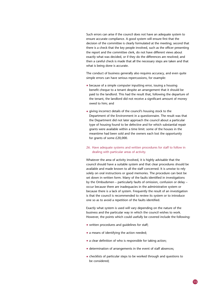Such errors can arise if the council does not have an adequate system to ensure accurate compliance. A good system will ensure first that the decision of the committee is clearly formulated at the meeting; second that there is a check that the key people involved, such as the officer presenting the report and the committee clerk, do not have different views about exactly what was decided, or if they do the differences are resolved; and then a careful check is made that all the necessary steps are taken and that what is being done is accurate.

The conduct of business generally also requires accuracy, and even quite simple errors can have serious repercussions, for example:

- because of a simple computer inputting error, issuing a housing benefit cheque to a tenant despite an arrangement that it should be paid to the landlord. This had the result that, following the departure of the tenant, the landlord did not receive a significant amount of money owed to him; and
- giving incorrect details of the council's housing stock to the Department of the Environment in a questionnaire. The result was that the Department did not later approach the council about a particular type of housing found to be defective and for which substantial repair grants were available within a time limit: some of the houses in the meantime had been sold and the owners each lost the opportunity for grants of some £20,000.
- 26. Have adequate systems and written procedures for staff to follow in dealing with particular areas of activity.

Whatever the area of activity involved, it is highly advisable that the council should have a suitable system and that clear procedures should be available and made known to all the staff concerned. It is unwise to rely solely on oral instructions or good memories. The procedure can best be set down in written form. Many of the faults identified in investigations by the Ombudsmen – particularly faults of omission, confusion or delay – occur because there are inadequacies in the administrative system or because there is a lack of system. Frequently the result of an investigation is that the council is recommended to review its system or to introduce one so as to avoid a repetition of the faults identified.

Exactly what system is used will vary depending on the nature of the business and the particular way in which the council wishes to work. However, the points which could usefully be covered include the following:

- written procedures and guidelines for staff;
- a means of identifying the action needed;
- a clear definition of who is responsible for taking action;
- determination of arrangements in the event of staff absences;
- checklists of particular steps to be worked through and questions to be considered;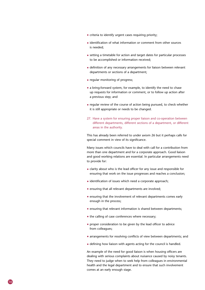- criteria to identify urgent cases requiring priority;
- identification of what information or comment from other sources is needed;
- setting a timetable for action and target dates for particular processes to be accomplished or information received;
- definition of any necessary arrangements for liaison between relevant departments or sections of a department;
- regular monitoring of progress;
- a bring-forward system, for example, to identify the need to chase up requests for information or comment, or to follow up action after a previous step; and
- regular review of the course of action being pursued, to check whether it is still appropriate or needs to be changed.
- 27. Have a system for ensuring proper liaison and co-operation between different departments, different sections of a department, or different areas in the authority.

This has already been referred to under axiom 26 but it perhaps calls for special comment in view of its significance.

Many issues which councils have to deal with call for a contribution from more than one department and for a corporate approach. Good liaison and good working relations are essential. In particular arrangements need to provide for:

- clarity about who is the lead officer for any issue and responsible for ensuring that work on the issue progresses and reaches a conclusion;
- identification of issues which need a corporate approach;
- ensuring that all relevant departments are involved;
- ensuring that the involvement of relevant departments comes early enough in the process;
- ensuring that relevant information is shared between departments;
- the calling of case conferences where necessary;
- proper consideration to be given by the lead officer to advice from colleagues;
- arrangements for resolving conflicts of view between departments; and
- defining how liaison with agents acting for the council is handled.

An example of the need for good liaison is when housing officers are dealing with serious complaints about nuisance caused by noisy tenants. They need to judge when to seek help from colleagues in environmental health and the legal department and to ensure that such involvement comes at an early enough stage.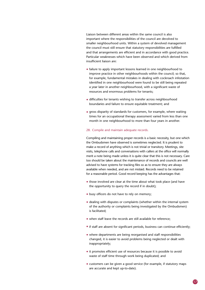Liaison between different areas within the same council is also important where the responsibilities of the council are devolved to smaller neighbourhood units. Within a system of devolved management the council must still ensure that statutory responsibilities are fulfilled and that arrangements are efficient and in accordance with good practice. Particular weaknesses which have been observed and which derived from insufficient liaison are:

- failure to apply important lessons learned in one neighbourhood to improve practice in other neighbourhoods within the council; so that, for example, fundamental mistakes in dealing with cockroach infestation identified in one neighbourhood were found to be still being repeated a year later in another neighbourhood, with a significant waste of resources and enormous problems for tenants;
- difficulties for tenants wishing to transfer across neighbourhood boundaries and failure to ensure equitable treatment; and
- gross disparity of standards for customers, for example, where waiting times for an occupational therapy assessment varied from less than one month in one neighbourhood to more than four years in another.

#### 28. Compile and maintain adequate records.

Compiling and maintaining proper records is a basic necessity, but one which the Ombudsmen have observed is sometimes neglected. It is prudent to make a record of anything which is not trivial or transitory. Meetings, site visits, telephone calls and conversations with callers at the office will normally merit a note being made unless it is quite clear that this is not necessary. Care too should be taken about the maintenance of records and councils are well advised to have systems for tracking files so as to ensure they are always available when needed, and are not mislaid. Records need to be retained for a reasonable period. Good record keeping has the advantages that:

- those involved are clear at the time about what took place (and have the opportunity to query the record if in doubt);
- busy officers do not have to rely on memory;
- dealing with disputes or complaints (whether within the internal system of the authority or complaints being investigated by the Ombudsmen) is facilitated;
- when staff leave the records are still available for reference;
- if staff are absent for significant periods, business can continue efficiently;
- where departments are being reorganised and staff responsibilities changed, it is easier to avoid problems being neglected or dealt with inappropriately;
- it promotes efficient use of resources because it is possible to avoid waste of staff time through work being duplicated; and
- customers can be given a good service (for example, if statutory maps are accurate and kept up-to-date).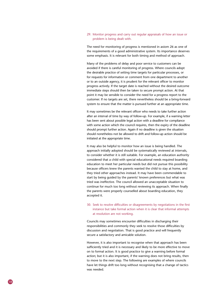#### 29. Monitor progress and carry out regular appraisals of how an issue or problem is being dealt with.

The need for monitoring of progress is mentioned in axiom 26 as one of the requirements of a good administrative system. Its importance deserves some emphasis. It is relevant for both timing and method of approach.

Many of the problems of delay and poor service to customers can be avoided if there is careful monitoring of progress. Where councils adopt the desirable practice of setting time targets for particular processes, or for requests for information or comment from one department to another or to an outside agency, it is prudent for the relevant officer to monitor progress actively. If the target date is reached without the desired outcome immediate steps should then be taken to secure prompt action. At that point it may be sensible to consider the need for a progress report to the customer. If no targets are set, there nevertheless should be a bring-forward system to ensure that the matter is pursued further at an appropriate time.

It may sometimes be the relevant officer who needs to take further action after an interval of time by way of follow-up. For example, if a warning letter has been sent about possible legal action with a deadline for compliance with some action which the council requires, then the expiry of the deadline should prompt further action. Again if no deadline is given the situation should nonetheless not be allowed to drift and follow-up action should be initiated at the appropriate time.

It may also be helpful to monitor how an issue is being handled. The approach initially adopted should be systematically reviewed at intervals, to consider whether it is still suitable. For example, an education authority considered that a child with special educational needs required boarding education to meet her particular needs but did not pursue this possibility because officers knew the parents wanted the child to stay at home, and they tried other approaches instead. It may have been commendable to start by being guided by the parents' known preferences but what was tried was ineffective. The council allowed an unacceptable situation to continue for much too long without reviewing its approach. When finally the parents were properly counselled about boarding education, they accepted it.

#### 30. Seek to resolve difficulties or disagreements by negotiations in the first instance but take formal action when it is clear that informal attempts at resolution are not working.

Councils may sometimes encounter difficulties in discharging their responsibilities and commonly they seek to resolve those difficulties by discussion and negotiation. That is good practice and will frequently secure a satisfactory and amicable solution.

However, it is also important to recognise when that approach has been sufficiently tried and it is necessary and likely to be more effective to move on to formal action. It is good practice to give a warning before formal action; but it is also important, if the warning does not bring results, then to move to the next step. The following are examples of where councils have let things drift too long without recognising that a change of tactics was needed.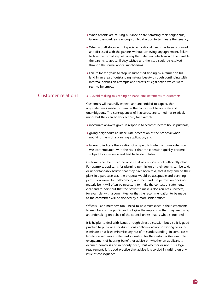- When tenants are causing nuisance or are harassing their neighbours, failure to embark early enough on legal action to terminate the tenancy.
- When a draft statement of special educational needs has been produced and discussed with the parents without achieving any agreement, failure to take the formal step of issuing the statement which would then enable the parents to appeal if they wished and the issue could be resolved through the formal appeal mechanisms.
- Failure for ten years to stop unauthorised tipping by a farmer on his land in an area of outstanding natural beauty through continuing with informal persuasion attempts and threats of legal action which were seen to be empty.

#### Customer relations 31. Avoid making misleading or inaccurate statements to customers.

Customers will naturally expect, and are entitled to expect, that any statements made to them by the council will be accurate and unambiguous. The consequences of inaccuracy are sometimes relatively minor but they can be very serious, for example:

- inaccurate answers given in response to searches before house purchase;
- giving neighbours an inaccurate description of the proposal when notifying them of a planning application; and
- failure to indicate the location of a pipe ditch when a house extension was contemplated, with the result that the extension quickly became subject to subsidence and had to be demolished.

Customers can be misled because what officers say is not sufficiently clear. For example, applicants for planning permission or their agents can be told, or understandably believe that they have been told, that if they amend their plans in a particular way the proposal would be acceptable and planning permission would be forthcoming, and then find the permission does not materialise. It will often be necessary to make the context of statements clear and to point out that the power to make a decision lies elsewhere, for example, with a committee; or that the recommendation to be made to the committee will be decided by a more senior officer.

Officers – and members too – need to be circumspect in their statements to members of the public and not give the impression that they are giving an undertaking on behalf of the council unless that is what is intended.

It is helpful to deal with issues through direct discussion but also it is good practice to put – or after discussions confirm – advice in writing so as to eliminate or at least minimise any risk of misunderstanding. In some cases legislation requires a statement in writing for the customer (for example, overpayment of housing benefit, or advice on whether an applicant is deemed homeless and in priority need). But whether or not it is a legal requirement, it is good practice that advice is recorded in writing on any issue of consequence.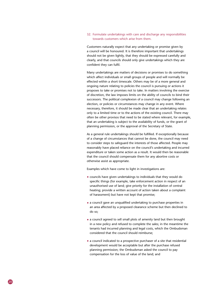#### 32. Formulate undertakings with care and discharge any responsibilities towards customers which arise from them.

Customers naturally expect that any undertaking or promise given by a council will be honoured. It is therefore important that undertakings should not be given lightly, that they should be expressed carefully and clearly, and that councils should only give undertakings which they are confident they can fulfil.

Many undertakings are matters of decisions or promises to do something which affect individuals or small groups of people and will normally be effected within a short timescale. Others may be of a more general and ongoing nature relating to policies the council is pursuing or actions it proposes to take or promises not to take. In matters involving the exercise of discretion, the law imposes limits on the ability of councils to bind their successors. The political complexion of a council may change following an election, or policies or circumstances may change in any event. Where necessary, therefore, it should be made clear that an undertaking relates only to a limited time or to the actions of the existing council. There may often be other provisos that need to be stated where relevant, for example, that an undertaking is subject to the availability of funds, or the grant of planning permission, or the approval of the Secretary of State.

As a general rule undertakings should be fulfilled. If exceptionally because of a change of circumstances that cannot be done, the council may need to consider steps to safeguard the interests of those affected. People may reasonably have placed reliance on the council's undertaking and incurred expenditure or taken some action as a result. It would then be reasonable that the council should compensate them for any abortive costs or otherwise assist as appropriate.

Examples which have come to light in investigations are:

- councils have given undertakings to individuals that they would do specific things (for example, take enforcement action in respect of an unauthorised use of land; give priority for the installation of central heating; provide a written account of action taken about a complaint of harassment) but have not kept that promise;
- a council gave an unqualified undertaking to purchase properties in an area affected by a proposed clearance scheme but then declined to do so;
- a council agreed to sell small plots of amenity land but then brought in a new policy and refused to complete the sales; in the meantime the tenants had incurred planning and legal costs, which the Ombudsman considered that the council should reimburse;
- a council indicated to a prospective purchaser of a site that residential development would be acceptable but after the purchase refused planning permission; the Ombudsman asked the council to pay compensation for the loss of value of the land; and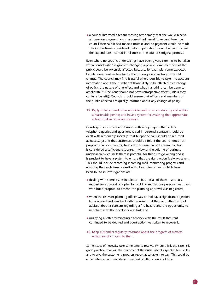• a council informed a tenant moving temporarily that she would receive a home loss payment and she committed herself to expenditure; the council then said it had made a mistake and no payment would be made. The Ombudsman considered that compensation should be paid to cover the expenditure incurred in reliance on the council's original promise.

Even where no specific undertakings have been given, care has to be taken when consideration is given to changing a policy. Some members of the public could be adversely affected because, for example, some expected benefit would not materialise or their priority on a waiting list would change. The council may find it useful where possible to take into account information about the number of those likely to be affected by a change of policy, the nature of that effect and what if anything can be done to ameliorate it. Decisions should not have retrospective effect (unless they confer a benefit). Councils should ensure that officers and members of the public affected are quickly informed about any change of policy.

33. Reply to letters and other enquiries and do so courteously and within a reasonable period; and have a system for ensuring that appropriate action is taken on every occasion.

Courtesy to customers and business efficiency require that letters, telephone queries and questions raised in personal contacts should be dealt with reasonably speedily; that telephone calls should be returned as necessary; and that customers should be told if the council does not propose to reply in writing to a letter because an oral communication is considered a sufficient response. In view of the volume of business undertaken by councils there is potential for things to go wrong and it is prudent to have a system to ensure that the right action is always taken. This should include recording incoming mail, monitoring progress and ensuring that each issue is dealt with. Examples of faults which have been found in investigations are:

- dealing with some issues in a letter but not all of them so that a request for approval of a plan for building regulations purposes was dealt with but a proposal to amend the planning approval was neglected;
- when the relevant planning officer was on holiday a significant objection letter arrived and was filed with the result that the committee was not advised about a concern regarding a fire hazard and the opportunity to negotiate with the developer was lost; and
- mislaying a letter terminating a tenancy with the result that rent continued to be debited and court action was taken to recover it.
- 34. Keep customers regularly informed about the progress of matters which are of concern to them.

Some issues of necessity take some time to resolve. Where this is the case, it is good practice to advise the customer at the outset about expected timescales, and to give the customer a progress report at suitable intervals. This could be either when a particular stage is reached or after a period of time.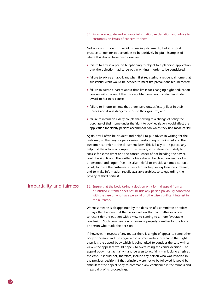35. Provide adequate and accurate information, explanation and advice to customers on issues of concern to them.

Not only is it prudent to avoid misleading statements, but it is good practice to look for opportunities to be positively helpful. Examples of where this should have been done are:

- failure to advise a person telephoning to object to a planning application that the objection had to be put in writing in order to be considered;
- failure to advise an applicant when first registering a residential home that substantial work would be needed to meet fire precautions requirements;
- failure to advise a parent about time limits for changing higher education courses with the result that his daughter could not transfer her student award to her new course;
- failure to inform tenants that there were unsatisfactory flues in their houses and it was dangerous to use their gas fires; and
- failure to inform an elderly couple that owing to a change of policy the purchase of their home under the 'right to buy' legislation would affect the application for elderly persons accommodation which they had made earlier.

Again it will often be prudent and helpful to put advice in writing for the customer, so that any scope for misunderstanding is minimised and the customer can refer to the document later. This is likely to be particularly helpful if the advice is complex or extensive; if its relevance is likely to subsist for some time; or if the consequences of not heeding the advice could be significant. The written advice should be clear, concise, readily understood and jargon-free. It is also helpful to provide a named contact point; to invite the customer to seek further help or explanation if desired; and to make information readily available (subject to safeguarding the privacy of third parties).

# Impartiality and fairness

36. Ensure that the body taking a decision on a formal appeal from a dissatisfied customer does not include any person previously concerned with the case or who has a personal or otherwise significant interest in the outcome.

Where someone is disappointed by the decision of a committee or officer, it may often happen that the person will ask that committee or officer to reconsider the position with a view to coming to a more favourable conclusion. Such consideration or review is properly a matter for the body or person who made the decision.

If, however, in respect of any matter there is a right of appeal to some other body or person, and the aggrieved customer wishes to exercise that right, then it is the appeal body which is being asked to consider the case with a view – the appellant would hope – to overturning the earlier decision. The appeal body must act fairly – and be seen to act fairly – in looking afresh at the case. It should not, therefore, include any person who was involved in the previous decision. If that principle were not to be followed it would be difficult for the appeal body to command any confidence in the fairness and impartiality of its proceedings.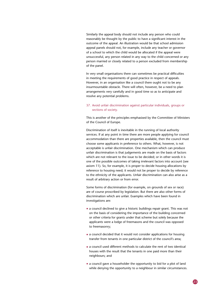Similarly the appeal body should not include any person who could reasonably be thought by the public to have a significant interest in the outcome of the appeal. An illustration would be that school admission appeal panels should not, for example, include any teacher or governor of a school to which the child would be allocated if the appeal were unsuccessful, any person related in any way to the child concerned or any person married or closely related to a person excluded from membership of the panel.

In very small organisations there can sometimes be practical difficulties in meeting the requirements of good practice in respect of appeals. However, in an organisation like a council there ought not to be any insurmountable obstacle. There will often, however, be a need to plan arrangements very carefully and in good time so as to anticipate and resolve any potential problems.

#### 37. Avoid unfair discrimination against particular individuals, groups or sections of society.

This is another of the principles emphasised by the Committee of Ministers of the Council of Europe.

Discrimination of itself is inevitable in the running of local authority services. If at any point in time there are more people applying for council accommodation than there are properties available, then the council must choose some applicants in preference to others. What, however, is not acceptable is unfair discrimination. One mechanism which can produce unfair discrimination is that judgements are made on the basis of factors which are not relevant to the issue to be decided; or in other words it is one of the possible outcomes of taking irrelevant factors into account (see axiom 11). So, for example, it is proper to decide housing allocations by reference to housing need; it would not be proper to decide by reference to the ethnicity of the applicants. Unfair discrimination can also arise as a result of arbitrary action or from error.

Some forms of discrimination (for example, on grounds of sex or race) are of course proscribed by legislation. But there are also other forms of discrimination which are unfair. Examples which have been found in investigations are:

- a council declined to give a historic buildings repair grant. This was not on the basis of considering the importance of the building concerned or other criteria for grants under that scheme but solely because the applicants were a lodge of freemasons and the council was opposed to freemasonry;
- a council decided that it would not consider applications for housing transfer from tenants in one particular district of the council's area;
- a council used different methods to calculate the rent of two identical houses with the result that the tenants in one paid more than their neighbours; and
- a council gave a householder the opportunity to bid for a plot of land while denying the opportunity to a neighbour in similar circumstances.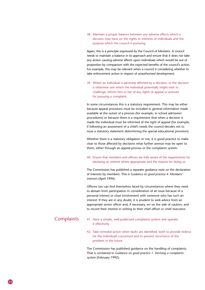38. Maintain a proper balance between any adverse effects which a decision may have on the rights or interests of individuals and the purpose which the council is pursuing.

Again, this is a principle expressed by the Council of Ministers. A council needs to maintain a balance in its approach and ensure that it does not take any action causing adverse effects upon individuals which would be out of proportion by comparison with the expected benefits of the council's action. For example, this may be relevant when a council is considering whether to take enforcement action in respect of unauthorised development.

39. Where an individual is adversely affected by a decision, or the decision is otherwise one which the individual potentially might wish to challenge, inform him or her of any rights of appeal or avenues for pursuing a complaint.

In some circumstances this is a statutory requirement. This may be either because appeal provisions must be included in general information made available at the outset of a process (for example, in school admission procedures) or because there is a requirement that when a decision is made the individual must be informed of the right of appeal (for example, if following an assessment of a child's needs the council decides not to issue a statutory statement determining the special educational provision).

Whether there is a statutory obligation or not, it is good practice to make clear to those affected by decisions what further avenue may be open to them, either through an appeal process or the complaints system.

#### 40. Ensure that members and officers are fully aware of the requirements for declaring an interest where appropriate and the reasons for doing so.

The Commission has published a separate guidance note on the declaration of interests by members. This is *Guidance on good practice 4: Members' interests* (April 1994).

Officers too can find themselves faced by circumstances where they need to abstain from participation in consideration of an issue because of a personal interest or close involvement with someone who has such an interest. If they are in any doubt, it is prudent to seek advice from an appropriate senior officer and, if necessary, err on the side of caution; and to record their interest in writing to their chief officer or chief executive.

### **Complaints**

- 41. Have a simple, well-publicised complaints system and operate it effectively.
	- 42. Take remedial action when faults are identified, both to provide redress for the individuals concerned and to prevent recurrence of the problem in the future.

The Commission has published guidance on the handling of complaints. That is contained in *Guidance on good practice 1: Devising a complaints system* (February 1992).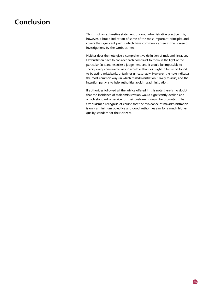# **Conclusion**

This is not an exhaustive statement of good administrative practice. It is, however, a broad indication of some of the most important principles and covers the significant points which have commonly arisen in the course of investigations by the Ombudsmen.

Neither does the note give a comprehensive definition of maladministration. Ombudsmen have to consider each complaint to them in the light of the particular facts and exercise a judgement, and it would be impossible to specify every conceivable way in which authorities might in future be found to be acting mistakenly, unfairly or unreasonably. However, the note indicates the most common ways in which maladministration is likely to arise; and the intention partly is to help authorities avoid maladministration.

If authorities followed all the advice offered in this note there is no doubt that the incidence of maladministration would significantly decline and a high standard of service for their customers would be promoted. The Ombudsmen recognise of course that the avoidance of maladministration is only a minimum objective and good authorities aim for a much higher quality standard for their citizens.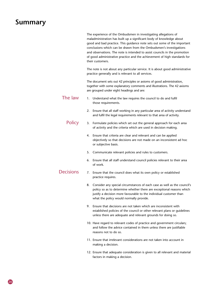# **Summary**

|                  | The experience of the Ombudsmen in investigating allegations of<br>maladministration has built up a significant body of knowledge about<br>good and bad practice. This guidance note sets out some of the important<br>conclusions which can be drawn from the Ombudsmen's investigations<br>and observations. The note is intended to assist councils in the promotion<br>of good administrative practice and the achievement of high standards for<br>their customers. |
|------------------|--------------------------------------------------------------------------------------------------------------------------------------------------------------------------------------------------------------------------------------------------------------------------------------------------------------------------------------------------------------------------------------------------------------------------------------------------------------------------|
|                  | The note is not about any particular service. It is about good administrative<br>practice generally and is relevant to all services.                                                                                                                                                                                                                                                                                                                                     |
|                  | The document sets out 42 principles or axioms of good administration,<br>together with some explanatory comments and illustrations. The 42 axioms<br>are grouped under eight headings and are:                                                                                                                                                                                                                                                                           |
| The law          | Understand what the law requires the council to do and fulfil<br>1.<br>those requirements.                                                                                                                                                                                                                                                                                                                                                                               |
|                  | Ensure that all staff working in any particular area of activity understand<br>2.<br>and fulfil the legal requirements relevant to that area of activity.                                                                                                                                                                                                                                                                                                                |
| <b>Policy</b>    | Formulate policies which set out the general approach for each area<br>3.<br>of activity and the criteria which are used in decision making.                                                                                                                                                                                                                                                                                                                             |
|                  | Ensure that criteria are clear and relevant and can be applied<br>4.<br>objectively so that decisions are not made on an inconsistent ad hoc<br>or subjective basis.                                                                                                                                                                                                                                                                                                     |
|                  | 5.<br>Communicate relevant policies and rules to customers.                                                                                                                                                                                                                                                                                                                                                                                                              |
|                  | Ensure that all staff understand council policies relevant to their area<br>6.<br>of work.                                                                                                                                                                                                                                                                                                                                                                               |
| <b>Decisions</b> | Ensure that the council does what its own policy or established<br>7.<br>practice requires.                                                                                                                                                                                                                                                                                                                                                                              |
|                  | Consider any special circumstances of each case as well as the council's<br>8.<br>policy so as to determine whether there are exceptional reasons which<br>justify a decision more favourable to the individual customer than<br>what the policy would normally provide.                                                                                                                                                                                                 |
|                  | 9. Ensure that decisions are not taken which are inconsistent with<br>established policies of the council or other relevant plans or guidelines<br>unless there are adequate and relevant grounds for doing so.                                                                                                                                                                                                                                                          |
|                  | 10. Have regard to relevant codes of practice and government circulars;<br>and follow the advice contained in them unless there are justifiable<br>reasons not to do so.                                                                                                                                                                                                                                                                                                 |
|                  | 11. Ensure that irrelevant considerations are not taken into account in<br>making a decision.                                                                                                                                                                                                                                                                                                                                                                            |
|                  | 12. Ensure that adequate consideration is given to all relevant and material                                                                                                                                                                                                                                                                                                                                                                                             |

factors in making a decision.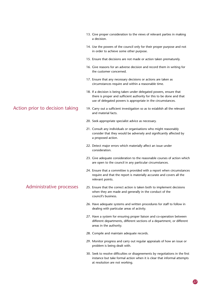- 13. Give proper consideration to the views of relevant parties in making a decision.
- 14. Use the powers of the council only for their proper purpose and not in order to achieve some other purpose.
- 15. Ensure that decisions are not made or action taken prematurely.
- 16. Give reasons for an adverse decision and record them in writing for the customer concerned.
- 17. Ensure that any necessary decisions or actions are taken as circumstances require and within a reasonable time.
- 18. If a decision is being taken under delegated powers, ensure that there is proper and sufficient authority for this to be done and that use of delegated powers is appropriate in the circumstances.
- 19. Carry out a sufficient investigation so as to establish all the relevant and material facts.
- 20. Seek appropriate specialist advice as necessary.
- 21. Consult any individuals or organisations who might reasonably consider that they would be adversely and significantly affected by a proposed action.
- 22. Detect major errors which materially affect an issue under consideration.
- 23. Give adequate consideration to the reasonable courses of action which are open to the council in any particular circumstances.
- 24. Ensure that a committee is provided with a report when circumstances require and that the report is materially accurate and covers all the relevant points.
- 25. Ensure that the correct action is taken both to implement decisions when they are made and generally in the conduct of the council's business.
- 26. Have adequate systems and written procedures for staff to follow in dealing with particular areas of activity.
- 27. Have a system for ensuring proper liaison and co-operation between different departments, different sections of a department, or different areas in the authority.
- 28. Compile and maintain adequate records.
- 29. Monitor progress and carry out regular appraisals of how an issue or problem is being dealt with.
- 30. Seek to resolve difficulties or disagreements by negotiations in the first instance but take formal action when it is clear that informal attempts at resolution are not working.

# Action prior to decision taking

### Administrative processes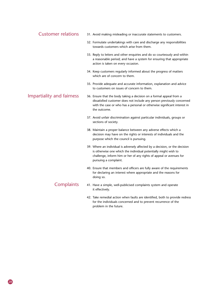### Customer relations

#### 31. Avoid making misleading or inaccurate statements to customers.

- 32. Formulate undertakings with care and discharge any responsibilities towards customers which arise from them.
- 33. Reply to letters and other enquiries and do so courteously and within a reasonable period; and have a system for ensuring that appropriate action is taken on every occasion.
- 34. Keep customers regularly informed about the progress of matters which are of concern to them.
- 35. Provide adequate and accurate information, explanation and advice to customers on issues of concern to them.
- 36. Ensure that the body taking a decision on a formal appeal from a dissatisfied customer does not include any person previously concerned with the case or who has a personal or otherwise significant interest in the outcome.
- 37. Avoid unfair discrimination against particular individuals, groups or sections of society.
- 38. Maintain a proper balance between any adverse effects which a decision may have on the rights or interests of individuals and the purpose which the council is pursuing.
- 39. Where an individual is adversely affected by a decision, or the decision is otherwise one which the individual potentially might wish to challenge, inform him or her of any rights of appeal or avenues for pursuing a complaint.
- 40. Ensure that members and officers are fully aware of the requirements for declaring an interest where appropriate and the reasons for doing so.
- **Complaints** 41. Have a simple, well-publicised complaints system and operate it effectively.
	- 42. Take remedial action when faults are identified, both to provide redress for the individuals concerned and to prevent recurrence of the problem in the future.

# Impartiality and fairness